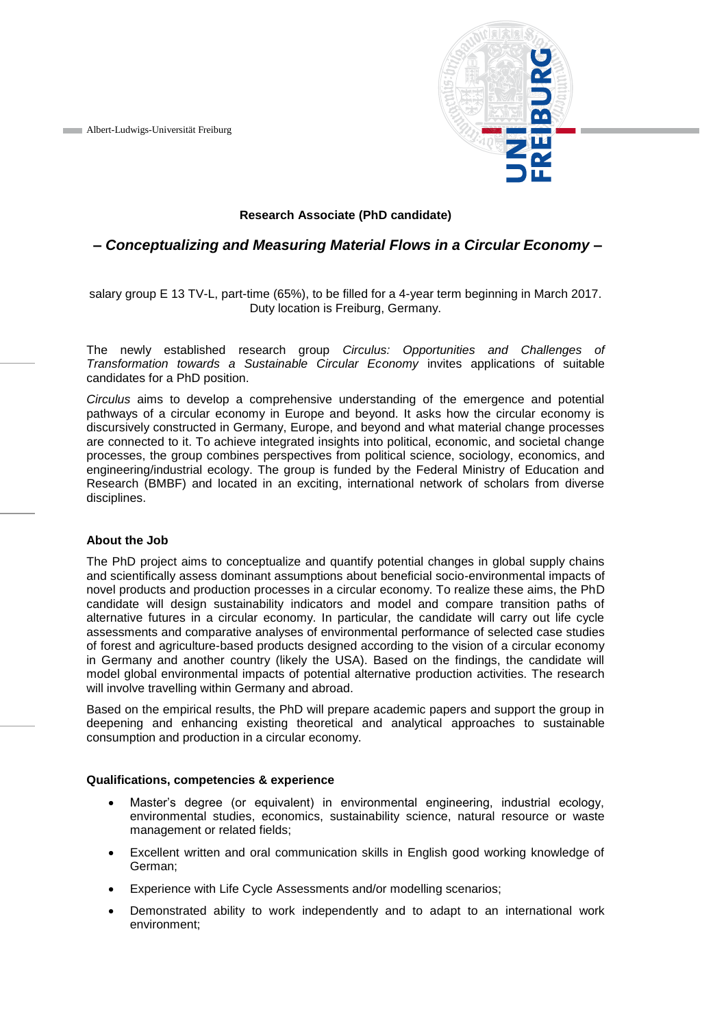**Albert-Ludwigs-Universität Freiburg** 



### **Research Associate (PhD candidate)**

# *– Conceptualizing and Measuring Material Flows in a Circular Economy –*

salary group E 13 TV-L, part-time (65%), to be filled for a 4-year term beginning in March 2017. Duty location is Freiburg, Germany.

The newly established research group *Circulus: Opportunities and Challenges of Transformation towards a Sustainable Circular Economy* invites applications of suitable candidates for a PhD position.

*Circulus* aims to develop a comprehensive understanding of the emergence and potential pathways of a circular economy in Europe and beyond. It asks how the circular economy is discursively constructed in Germany, Europe, and beyond and what material change processes are connected to it. To achieve integrated insights into political, economic, and societal change processes, the group combines perspectives from political science, sociology, economics, and engineering/industrial ecology. The group is funded by the Federal Ministry of Education and Research (BMBF) and located in an exciting, international network of scholars from diverse disciplines.

#### **About the Job**

The PhD project aims to conceptualize and quantify potential changes in global supply chains and scientifically assess dominant assumptions about beneficial socio-environmental impacts of novel products and production processes in a circular economy. To realize these aims, the PhD candidate will design sustainability indicators and model and compare transition paths of alternative futures in a circular economy. In particular, the candidate will carry out life cycle assessments and comparative analyses of environmental performance of selected case studies of forest and agriculture-based products designed according to the vision of a circular economy in Germany and another country (likely the USA). Based on the findings, the candidate will model global environmental impacts of potential alternative production activities. The research will involve travelling within Germany and abroad.

Based on the empirical results, the PhD will prepare academic papers and support the group in deepening and enhancing existing theoretical and analytical approaches to sustainable consumption and production in a circular economy.

#### **Qualifications, competencies & experience**

- Master's degree (or equivalent) in environmental engineering, industrial ecology, environmental studies, economics, sustainability science, natural resource or waste management or related fields;
- Excellent written and oral communication skills in English good working knowledge of German;
- Experience with Life Cycle Assessments and/or modelling scenarios;
- Demonstrated ability to work independently and to adapt to an international work environment;